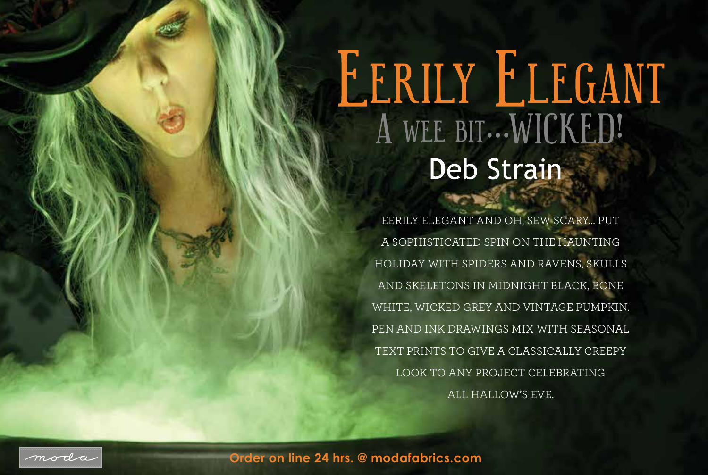## EERILY ELEGANT Deb Strain

EERILY ELEGANT AND OH, SEW SCARY… PUT A SOPHISTICATED SPIN ON THE HAUNTING HOLIDAY WITH SPIDERS AND RAVENS, SKULLS AND SKELETONS IN MIDNIGHT BLACK, BONE WHITE, WICKED GREY AND VINTAGE PUMPKIN. PEN AND INK DRAWINGS MIX WITH SEASONAL TEXT PRINTS TO GIVE A CLASSICALLY CREEPY LOOK TO ANY PROJECT CELEBRATING ALL HALLOW'S EVE.



**Order on line 24 hrs. @ modafabrics.com**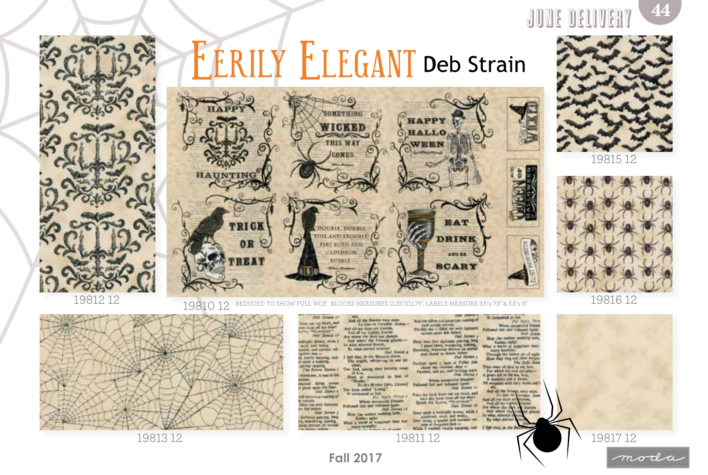

## **ERILY ELEGANT Deb Strain**





19815 12



19816 12



19812 12 19810 12 REDUCED TO SHOW FULL WOF. BLOCKS MEASURES 11.25"X11.75", LABELS MEASURE 3.5"x 7.5" & 3.5"x 6"



moda

**Order on line 24 hrs. @ modafabrics.com Fall 2017**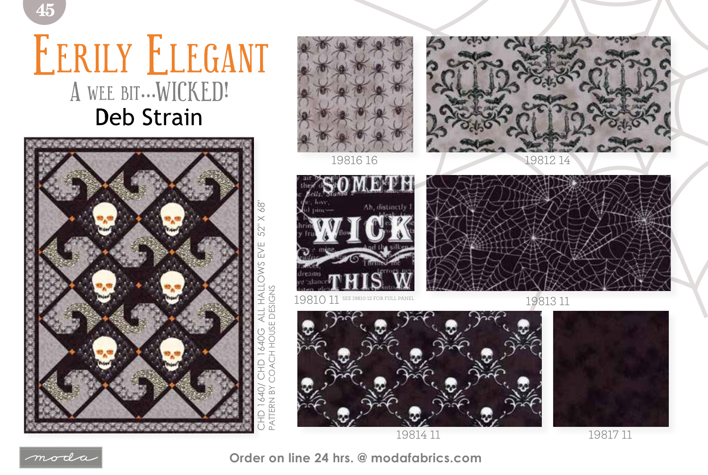## EERILY ELEGANT A WEE BIT ... WICKED! **Deb Strain**





 $\; m \sigma$ da

**Order on line 24 hrs. @ modafabrics.com**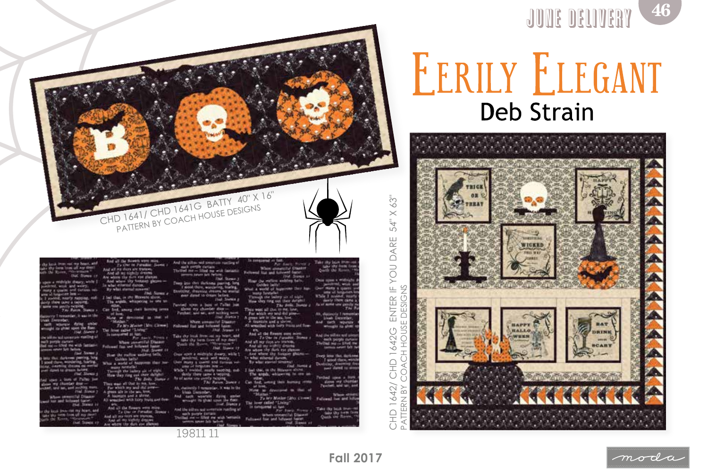

To My Motion (My) Chains **Curchase came a tercing** The Bells hat in ma, how

19811 11

work and works albertal durant

da Tagas **Jeak Eleventy** cash who alle its cha a Char in Paradice my days are trance. 1,000 as the Moussen

malk paralle force<br>Clad my -- Ellipt n latelland copys is lost alone my chor

3 54" X YOU DARE ENTER IF **DESIGNS**  $\sqcup$ HOUSE CHD 1642G  $\pm$ ○<br>く È C CHD 1642/  $\geq$  $\overline{z}$  $\widetilde{\mathbb{R}}$ Ę



**JUDE DELIVERY** 

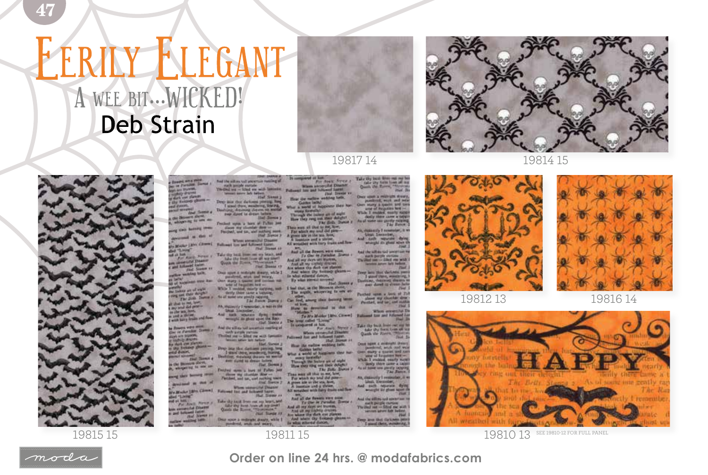## **NEGANT** A WEE BIT ... WICKED! **Deb Strain**





19815 15



**Example with proper** 

we my chander does -Factball, and car, and an *Mail Slavier* That Manuel av of at last such News a metalut Daamer<br>Alland Sader<br>And Sances on or welches have Once some a midnight streate, while I

Over montrast, such and weary, which is a second to the state of the state of the state of the state of the state of the state of the state of the state of the state of the state of the state of the state of the state of **Auctions were for**the art of such **PE SIN CARD AUGUST** The Dolls Design a that is not love.

 $\sigma\sigma_1$  equivalently  $1$  -symmetries , in matrix that the fibral distribution of the symmetries of the photon space that the first  $\sigma$  . Firstly, the photon space that the state  $\sigma$ in the angulars<br>a seal is three and from And the allias sail accurrate markeg of

te Roman von Tierren<br>Der in Fernsten Stewart<br>Handlich Stewart The first party is the country of the country of the country of the first state of the country of the country of the country of the country of the country of the country of the country of the country of the country of the dark one planner Prop line the dettors provide line<br>  $\Gamma$  and the dettors are not metal-<br> Dentrois, where  $\Delta$  is the set of the set<br>  $\Delta$ **THE INC. SAMPL Banners Shows** 

period to new an Freshed spins a look of Falley just Here my churcher How -Partised, and tar, and suching **Alad Slastle P When streamlifed Disgram** seator Link Clemel. Futured for and futured baret. that Trease as **STATE** 

of at late.  $P_{\text{tot}}$  from the contract of the contract from our age laters, and the contract of the contract of the figures of the contract of the figures of the figures of the figures of the figures of the figures of th **Commercial Charges**<br>and Subsequent Expires and Questi the Rooms "that thereby a maximum" and the contract the first contract the space of the second photon of the second photon of the second photon of the second photon of the second photon of the second photon of the shoul, end and exact,

*Chair Sameway* When anyonying Direct<br>and for and between faster.

**Stat Streets** 

the mellow weekling a world of American they has

als the lastery and at

Through the indeed of the definition of the field  $\sim$  10  $\mu$  mass and the law and all the result of the set of the set of the set of the set of the set of the set of the set of the set of the set of the set of the set o

And all my copies dealers<br>and all my copies showned and the scheme the short control of<br>the scheme the control of the state of the state of the state<br> $\mathbb{R}$  what strength interests are stated as **Fluit Stammer** 

ad that, as the Measure above, The negativ, whispeving to one

Car feel, among short descring home. How to develop as the of

"Mother" District (Meta Circuit) Subsequent the contract of the Property of the Circuit (Meta) (Meta) (Meta) (Meta) (Meta) (Meta) (Meta) (Meta) (Meta) (Meta) (Meta) (Meta) (Meta) (Meta) (Meta) (Meta) (Meta) (Meta) (Meta) (

To acceptered at his cases, three-in-<br>Where results Directly a Where results Directly in<br>Followed funt and influenti June 1.<br>And, Directly 11. How the nation wedding here.

What a world of Namines many installation are of state Through the leaders are of each  $\mathcal{O}(n^{2n})$  . Here  $\mathcal{O}(n^{2n})$  . Thus and  $\mathcal{O}(n^{2n})$  . The fields of the control of the control of the control of the control of the control of the control of the control of the cont

And all the flowers were must

And all my days are traveler. Downer

1981115

Take the best from out out **A USA RUFFE** positrad, was and set **Night cars shortly rich** The Batter

All community I conservated, it a **Auth Moviete** date whatghi its plant when

**Earth perple vertices** 

stand three, woods:

all names, a local all The show my closeler dre

When are good for Dr

Take thy back from our age for<br>Anker thy from Long on the

Dept now a midnight drawy<br>pandond, with not were 

As, distancely 1 restructor, it a

Deep leve that Carl new per



19812 13

19814 15



19816 14



19810 13 SEE 19810-12 FOR FULL PANEL



47

Order on line 24 hrs. @ modafabrics.com

- The Re Link Leonater,<br>| sach reporate dying<br>| mongle its glues aport of
- And the silling and appartun-The Day of the Contract of the Day of the